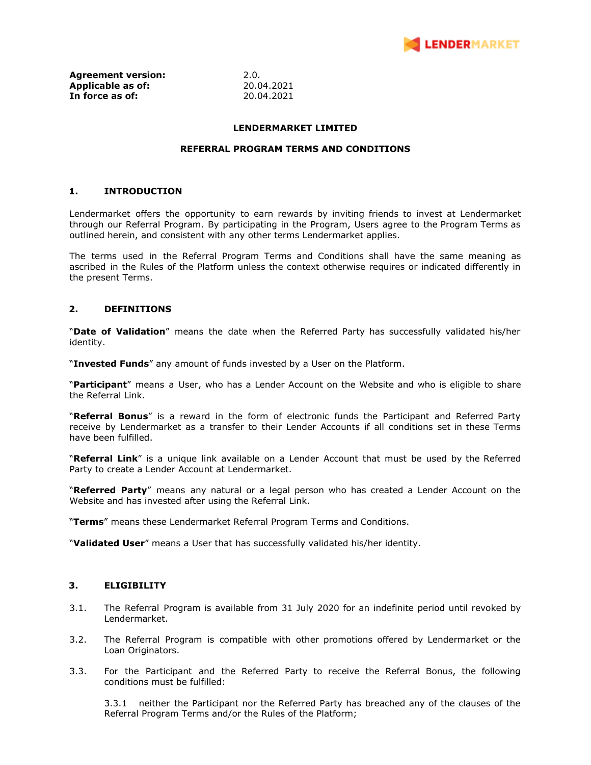

**Agreement version:** 2.0.<br> **Applicable as of:** 20.04.2021 **Applicable as of: In force as of:** 20.04.2021

### **LENDERMARKET LIMITED**

#### **REFERRAL PROGRAM TERMS AND CONDITIONS**

#### **1. INTRODUCTION**

Lendermarket offers the opportunity to earn rewards by inviting friends to invest at Lendermarket through our Referral Program. By participating in the Program, Users agree to the Program Terms as outlined herein, and consistent with any other terms Lendermarket applies.

The terms used in the Referral Program Terms and Conditions shall have the same meaning as ascribed in the Rules of the Platform unless the context otherwise requires or indicated differently in the present Terms.

### **2. DEFINITIONS**

"**Date of Validation**" means the date when the Referred Party has successfully validated his/her identity.

"**Invested Funds**" any amount of funds invested by a User on the Platform.

"**Participant**" means a User, who has a Lender Account on the Website and who is eligible to share the Referral Link.

"**Referral Bonus**" is a reward in the form of electronic funds the Participant and Referred Party receive by Lendermarket as a transfer to their Lender Accounts if all conditions set in these Terms have been fulfilled.

"**Referral Link**" is a unique link available on a Lender Account that must be used by the Referred Party to create a Lender Account at Lendermarket.

"**Referred Party**" means any natural or a legal person who has created a Lender Account on the Website and has invested after using the Referral Link.

"**Terms**" means these Lendermarket Referral Program Terms and Conditions.

"**Validated User**" means a User that has successfully validated his/her identity.

#### **3. ELIGIBILITY**

- 3.1. The Referral Program is available from 31 July 2020 for an indefinite period until revoked by Lendermarket.
- 3.2. The Referral Program is compatible with other promotions offered by Lendermarket or the Loan Originators.
- 3.3. For the Participant and the Referred Party to receive the Referral Bonus, the following conditions must be fulfilled:

3.3.1 neither the Participant nor the Referred Party has breached any of the clauses of the Referral Program Terms and/or the Rules of the Platform;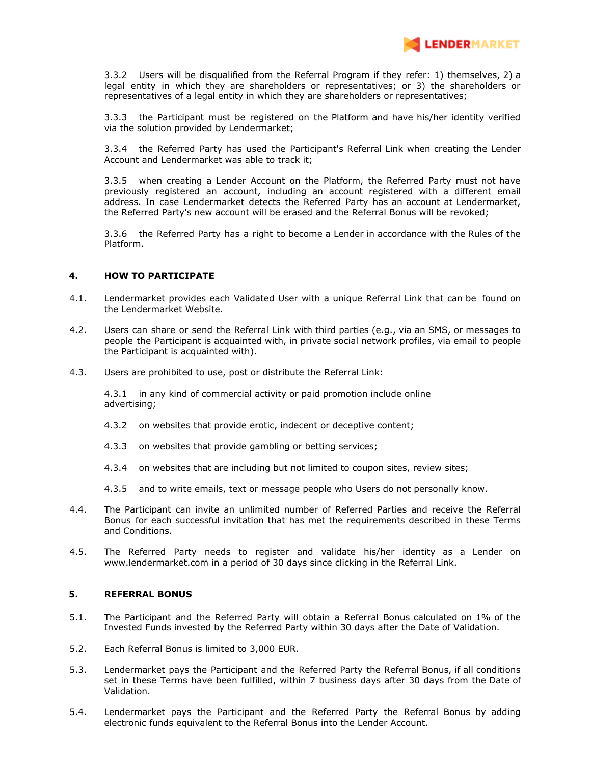

3.3.2 Users will be disqualified from the Referral Program if they refer: 1) themselves, 2) a legal entity in which they are shareholders or representatives; or 3) the shareholders or representatives of a legal entity in which they are shareholders or representatives;

3.3.3 the Participant must be registered on the Platform and have his/her identity verified via the solution provided by Lendermarket;

3.3.4 the Referred Party has used the Participant's Referral Link when creating the Lender Account and Lendermarket was able to track it;

3.3.5 when creating a Lender Account on the Platform, the Referred Party must not have previously registered an account, including an account registered with a different email address. In case Lendermarket detects the Referred Party has an account at Lendermarket, the Referred Party's new account will be erased and the Referral Bonus will be revoked;

3.3.6 the Referred Party has a right to become a Lender in accordance with the Rules of the Platform.

#### **4. HOW TO PARTICIPATE**

- 4.1. Lendermarket provides each Validated User with a unique Referral Link that can be found on the Lendermarket Website.
- 4.2. Users can share or send the Referral Link with third parties (e.g., via an SMS, or messages to people the Participant is acquainted with, in private social network profiles, via email to people the Participant is acquainted with).
- 4.3. Users are prohibited to use, post or distribute the Referral Link:

4.3.1 in any kind of commercial activity or paid promotion include online advertising;

- 4.3.2 on websites that provide erotic, indecent or deceptive content;
- 4.3.3 on websites that provide gambling or betting services;
- 4.3.4 on websites that are including but not limited to coupon sites, review sites;
- 4.3.5 and to write emails, text or message people who Users do not personally know.
- 4.4. The Participant can invite an unlimited number of Referred Parties and receive the Referral Bonus for each successful invitation that has met the requirements described in these Terms and Conditions.
- 4.5. The Referred Party needs to register and validate his/her identity as a Lender on www.lendermarket.com in a period of 30 days since clicking in the Referral Link.

#### **5. REFERRAL BONUS**

- 5.1. The Participant and the Referred Party will obtain a Referral Bonus calculated on 1% of the Invested Funds invested by the Referred Party within 30 days after the Date of Validation.
- 5.2. Each Referral Bonus is limited to 3,000 EUR.
- 5.3. Lendermarket pays the Participant and the Referred Party the Referral Bonus, if all conditions set in these Terms have been fulfilled, within 7 business days after 30 days from the Date of Validation.
- 5.4. Lendermarket pays the Participant and the Referred Party the Referral Bonus by adding electronic funds equivalent to the Referral Bonus into the Lender Account.